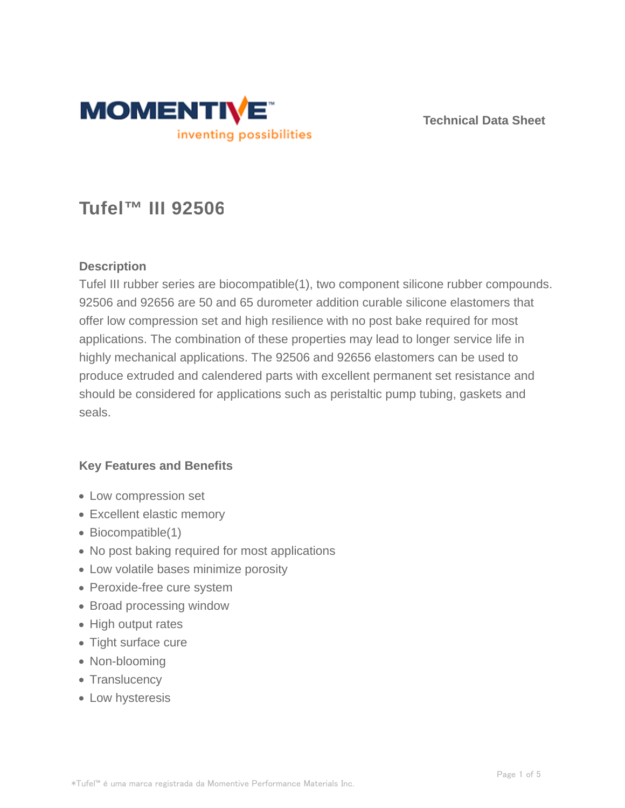

**Technical Data Sheet**

# **Tufel™ III 92506**

## **Description**

Tufel III rubber series are biocompatible(1), two component silicone rubber compounds. 92506 and 92656 are 50 and 65 durometer addition curable silicone elastomers that offer low compression set and high resilience with no post bake required for most applications. The combination of these properties may lead to longer service life in highly mechanical applications. The 92506 and 92656 elastomers can be used to produce extruded and calendered parts with excellent permanent set resistance and should be considered for applications such as peristaltic pump tubing, gaskets and seals.

## **Key Features and Benefits**

- Low compression set
- Excellent elastic memory
- Biocompatible(1)
- No post baking required for most applications
- Low volatile bases minimize porosity
- Peroxide-free cure system
- Broad processing window
- High output rates
- Tight surface cure
- Non-blooming
- Translucency
- Low hysteresis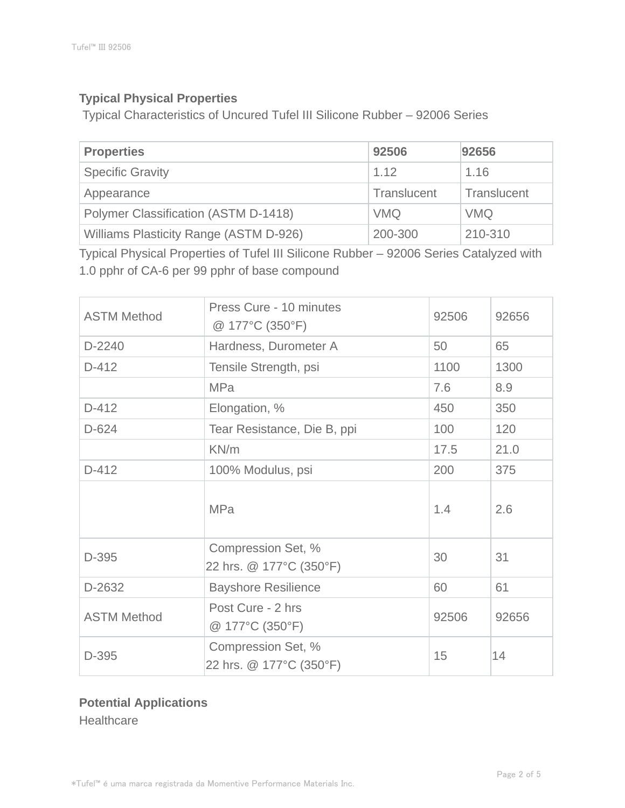## **Typical Physical Properties**

Typical Characteristics of Uncured Tufel III Silicone Rubber – 92006 Series

| <b>Properties</b>                      | 92506       | 92656       |
|----------------------------------------|-------------|-------------|
| <b>Specific Gravity</b>                | 1.12        | 1.16        |
| Appearance                             | Translucent | Translucent |
| Polymer Classification (ASTM D-1418)   | <b>VMQ</b>  | <b>VMQ</b>  |
| Williams Plasticity Range (ASTM D-926) | 200-300     | 210-310     |

Typical Physical Properties of Tufel III Silicone Rubber – 92006 Series Catalyzed with 1.0 pphr of CA-6 per 99 pphr of base compound

| <b>ASTM Method</b> | Press Cure - 10 minutes<br>@ 177°C (350°F)    | 92506 | 92656 |
|--------------------|-----------------------------------------------|-------|-------|
| D-2240             | Hardness, Durometer A                         | 50    | 65    |
| $D-412$            | Tensile Strength, psi                         | 1100  | 1300  |
|                    | <b>MPa</b>                                    | 7.6   | 8.9   |
| $D-412$            | Elongation, %                                 | 450   | 350   |
| $D-624$            | Tear Resistance, Die B, ppi                   | 100   | 120   |
|                    | KN/m                                          | 17.5  | 21.0  |
| $D-412$            | 100% Modulus, psi                             | 200   | 375   |
|                    | <b>MPa</b>                                    | 1.4   | 2.6   |
| D-395              | Compression Set, %<br>22 hrs. @ 177°C (350°F) | 30    | 31    |
| D-2632             | <b>Bayshore Resilience</b>                    | 60    | 61    |
| <b>ASTM Method</b> | Post Cure - 2 hrs<br>92506<br>@ 177°C (350°F) |       | 92656 |
| D-395              | Compression Set, %<br>22 hrs. @ 177°C (350°F) | 15    | 14    |

## **Potential Applications Healthcare**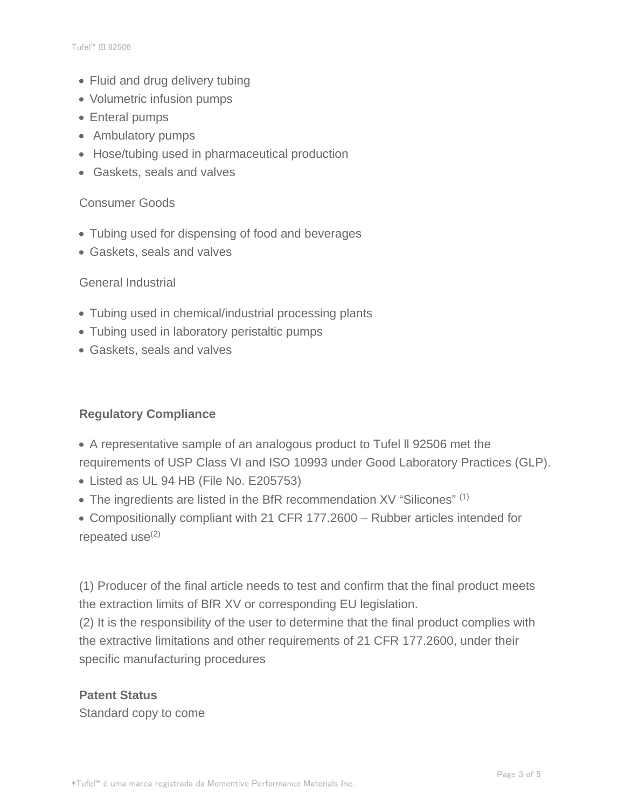- Fluid and drug delivery tubing
- Volumetric infusion pumps
- Enteral pumps
- Ambulatory pumps
- Hose/tubing used in pharmaceutical production
- Gaskets, seals and valves

#### Consumer Goods

- Tubing used for dispensing of food and beverages
- Gaskets, seals and valves

#### General Industrial

- Tubing used in chemical/industrial processing plants
- Tubing used in laboratory peristaltic pumps
- Gaskets, seals and valves

## **Regulatory Compliance**

- A representative sample of an analogous product to Tufel ll 92506 met the requirements of USP Class VI and ISO 10993 under Good Laboratory Practices (GLP).
- Listed as UL 94 HB (File No. E205753)
- The ingredients are listed in the BfR recommendation XV "Silicones" (1)
- Compositionally compliant with 21 CFR 177.2600 Rubber articles intended for repeated use $(2)$

(1) Producer of the final article needs to test and confirm that the final product meets the extraction limits of BfR XV or corresponding EU legislation.

(2) It is the responsibility of the user to determine that the final product complies with the extractive limitations and other requirements of 21 CFR 177.2600, under their specific manufacturing procedures

## **Patent Status**

Standard copy to come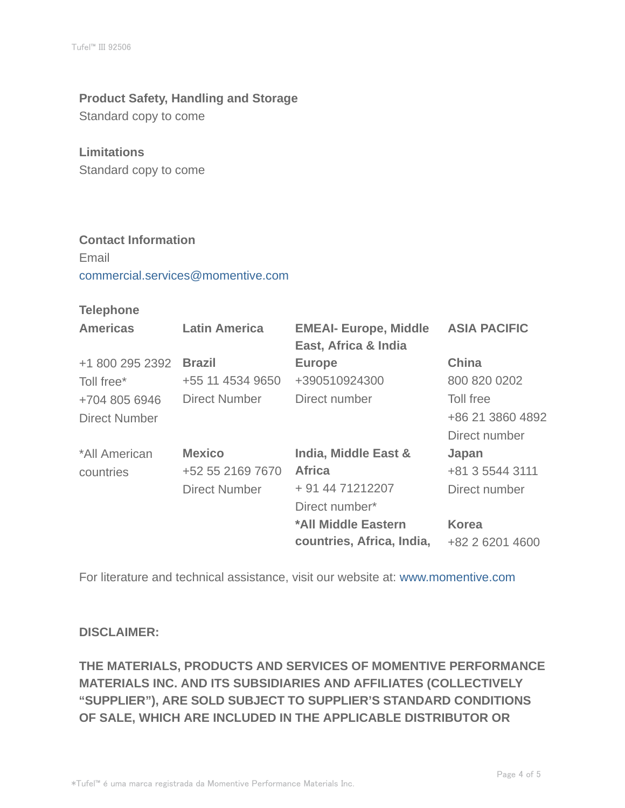#### **Product Safety, Handling and Storage**

Standard copy to come

#### **Limitations**

Standard copy to come

#### **Contact Information**

Email commercial.services@momentive.com

#### **Telephone**

| <b>Americas</b>      | <b>Latin America</b> | <b>EMEAI- Europe, Middle</b><br>East, Africa & India | <b>ASIA PACIFIC</b> |
|----------------------|----------------------|------------------------------------------------------|---------------------|
| +1 800 295 2392      | <b>Brazil</b>        | <b>Europe</b>                                        | <b>China</b>        |
| Toll free*           | +55 11 4534 9650     | +390510924300                                        | 800 820 0202        |
| +704 805 6946        | <b>Direct Number</b> | Direct number                                        | Toll free           |
| <b>Direct Number</b> |                      |                                                      | +86 21 3860 4892    |
|                      |                      |                                                      | Direct number       |
| *All American        | <b>Mexico</b>        | India, Middle East &                                 | Japan               |
| countries            | +52 55 2169 7670     | <b>Africa</b>                                        | +81 3 5544 3111     |
|                      | <b>Direct Number</b> | + 91 44 71212207                                     | Direct number       |
|                      |                      | Direct number*                                       |                     |
|                      |                      | *All Middle Eastern                                  | <b>Korea</b>        |
|                      |                      | countries, Africa, India,                            | +82 2 6201 4600     |

For literature and technical assistance, visit our website at: www.momentive.com

#### **DISCLAIMER:**

**THE MATERIALS, PRODUCTS AND SERVICES OF MOMENTIVE PERFORMANCE MATERIALS INC. AND ITS SUBSIDIARIES AND AFFILIATES (COLLECTIVELY "SUPPLIER"), ARE SOLD SUBJECT TO SUPPLIER'S STANDARD CONDITIONS OF SALE, WHICH ARE INCLUDED IN THE APPLICABLE DISTRIBUTOR OR**